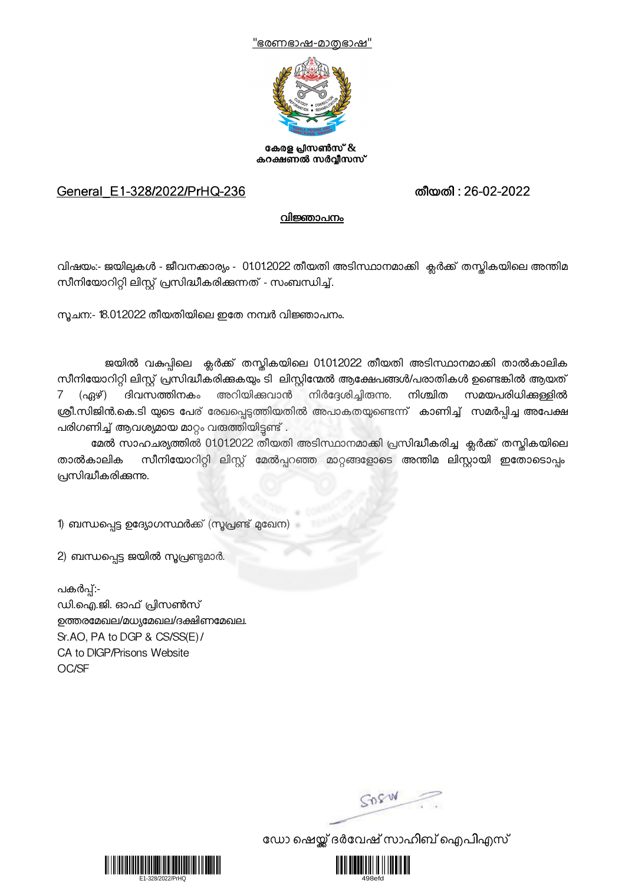



കേരള പ്രസൺസ് & കറക്ഷണൽ സർവ്വീസസ്

## General\_E1-328/2022/PrHQ-236 തീയതി : 26-02-2022

## വിജ്ഞാപനം

വിഷയം:- ജയിലുകൾ - ജീവനക്കാര്യം - 0101.2022 തീയതി അടിസ്ഥാനമാക്കി ക്ലർക്ക് തസ്തികയിലെ അന്തിമ സീനിയോറിറ്റി ലിസ്റ്റ് പ്രസിദ്ധീകരിക്കുന്നത് - സംബന്ധിച്ച്.

നുചന:- 18.01.2022 തീയതിയിലെ ഇതേ നമ്പർ വിജ്ഞാപനം.

ജയിൽ വകുപ്പിലെ ക്ലർക്ക് തസ്തികയിലെ 01.01.2022 തീയതി അടിസ്ഥാനമാക്കി താൽകാലിക സീനിയോറിറ്റി ലിസ്റ്റ് പ്രസിദ്ധീകരിക്കുകയും ടി ലിസ്റ്റിന്മേൽ ആക്ഷേപങ്ങൾ/പരാതികൾ ഉണ്ടെങ്കിൽ ആയത് 7 (ഏഴ്) ദിവസത്തിനകം അറിയിക്കവാൻ നിർദ്ദേശിച്ചിരുന്നു. നിശ്ചിത സമയപരിധിക്കള്ളിൽ ശ്രീ.സിജിൻ.കെ.ടി യുടെ പേര് രേഖപ്പെടുത്തിയതിൽ അപാകതയുണ്ടെന്ന് കാണിച്ച് സമർപ്പിച്ച അപേക്ഷ പരിഗണിച്ച് ആവശ്യമായ മാറ്റം വരുത്തിയിട്ടുണ്ട് .

മേൽ സാഹചര്യത്തിൽ 01.01.2022 തീയതി അടിസ്ഥാനമാക്കി പ്രസിദ്ധീകരിച്ച ക്ലർക്ക് തസ്തികയിലെ താൽകാലിക സീനിയോറിറ്റി ലിസ്റ്റ് മേൽപ്പറഞ്ഞ മാറ്റങ്ങളോടെ അന്തിമ ലിസ്റ്റായി ഇതോടൊപ്പം പ്രസിദ്ധീകരിക്കുന്നു.

1) ബന്ധപ്പെട്ട ഉദ്യോഗസ്ഥർക്ക് (സൂപ്രണ്ട് മുഖേന)

2) ബന്ധപ്പെട്ട ജയിൽ സൂപ്രണ്ടുമാർ.

പകർപ്പ്:-ഡി.ഐ.ജി. ഓഫ് \*ിസൺസ് ഉത്തരമേഖല/മധ്യമേഖല/ദക്ഷിണമേഖല. Sr.AO, PA to DGP & CS/SS(E)/ CA to DIGP/Prisons Website OC/SF

SOSW

ഡോ ഷെയ്ക്ക് ദർവേഷ് സാഹിബ് ഐപിഎസ്



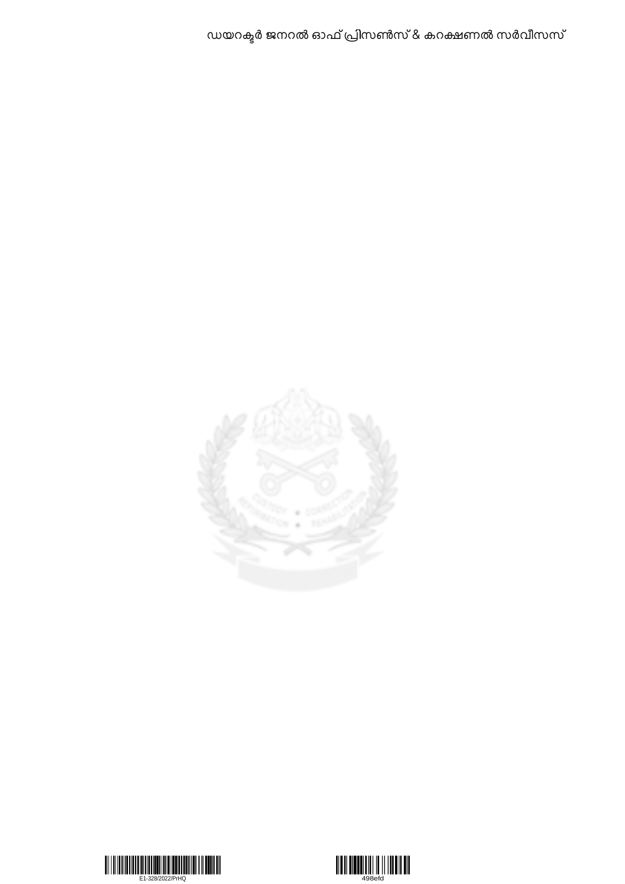ഡയറക്ടർ ജനറൽ ഓഫ് പ്രിസൺസ് & കറക്ഷണൽ സർവീസസ്





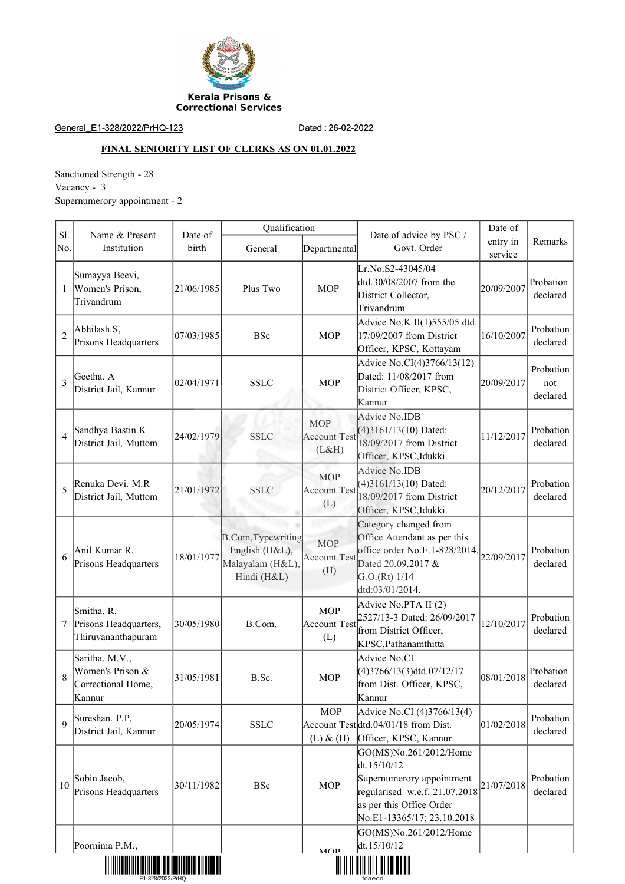

General\_E1-328/2022/PrHQ-123 Dated : 26-02-2022

## **FINAL SENIORITY LIST OF CLERKS AS ON 01.01.2022**

Sanctioned Strength - 28 Vacancy - 3 Supernumerory appointment - 2

| Sl.            |                                                                    |                  | Qualification                                                           |                                            |                                                                                                                                                               | Date of             |                              |
|----------------|--------------------------------------------------------------------|------------------|-------------------------------------------------------------------------|--------------------------------------------|---------------------------------------------------------------------------------------------------------------------------------------------------------------|---------------------|------------------------------|
| No.            | Name & Present<br>Institution                                      | Date of<br>birth | General                                                                 | Departmental                               | Date of advice by PSC /<br>Govt. Order                                                                                                                        | entry in<br>service | Remarks                      |
| 1              | Sumayya Beevi,<br>Women's Prison,<br>Trivandrum                    | 21/06/1985       | Plus Two                                                                | <b>MOP</b>                                 | Lr.No.S2-43045/04<br>dtd.30/08/2007 from the<br>District Collector,<br>Trivandrum                                                                             | 20/09/2007          | Probation<br>declared        |
| $\overline{2}$ | Abhilash.S,<br>Prisons Headquarters                                | 07/03/1985       | <b>BSc</b>                                                              | <b>MOP</b>                                 | Advice No.K II(1)555/05 dtd.<br>17/09/2007 from District<br>Officer, KPSC, Kottayam                                                                           | 16/10/2007          | Probation<br>declared        |
| 3              | Geetha. A<br>District Jail, Kannur                                 | 02/04/1971       | <b>SSLC</b>                                                             | <b>MOP</b>                                 | Advice No.CI(4)3766/13(12)<br>Dated: 11/08/2017 from<br>District Officer, KPSC,<br>Kannur                                                                     | 20/09/2017          | Probation<br>not<br>declared |
| $\overline{4}$ | Sandhya Bastin.K<br>District Jail, Muttom                          | 24/02/1979       | <b>SSLC</b>                                                             | <b>MOP</b><br><b>Account Test</b><br>(L&H) | Advice No.IDB<br>$(4)3161/13(10)$ Dated:<br>18/09/2017 from District<br>Officer, KPSC, Idukki.                                                                | 11/12/2017          | Probation<br>declared        |
| 5              | Renuka Devi. M.R<br>District Jail, Muttom                          | 21/01/1972       | <b>SSLC</b>                                                             | <b>MOP</b><br><b>Account Test</b><br>(L)   | <b>Advice No.IDB</b><br>(4)3161/13(10) Dated:<br>18/09/2017 from District<br>Officer, KPSC, Idukki.                                                           | 20/12/2017          | Probation<br>declared        |
| 6              | Anil Kumar R.<br>Prisons Headquarters                              | 18/01/1977       | B.Com, Typewriting<br>English (H&L),<br>Malayalam (H&L),<br>Hindi (H&L) | <b>MOP</b><br><b>Account Test</b><br>(H)   | Category changed from<br>Office Attendant as per this<br>office order No.E.1-828/2014,<br>Dated 20.09.2017 &<br>G.O.(Rt) 1/14<br>dtd:03/01/2014.              | 22/09/2017          | Probation<br>declared        |
| 7              | Smitha. R.<br>Prisons Headquarters,<br>Thiruvananthapuram          | 30/05/1980       | B.Com.                                                                  | <b>MOP</b><br><b>Account Test</b><br>(L)   | Advice No.PTA II (2)<br>2527/13-3 Dated: 26/09/2017<br>from District Officer,<br>KPSC, Pathanamthitta                                                         | 12/10/2017          | Probation<br>declared        |
| 8              | Saritha. M.V.,<br>Women's Prison &<br>Correctional Home,<br>Kannur | 31/05/1981       | B.Sc.                                                                   | <b>MOP</b>                                 | Advice No.CI<br>$(4)3766/13(3)$ dtd.07/12/17<br>from Dist. Officer, KPSC,<br>Kannur                                                                           | 08/01/2018          | Probation<br>declared        |
| $\mathbf Q$    | Sureshan. P.P,<br>District Jail, Kannur                            | 20/05/1974       | <b>SSLC</b>                                                             | <b>MOP</b><br>$(L)$ & $(H)$                | Advice No.CI (4)3766/13(4)<br>Account Test dtd.04/01/18 from Dist.<br>Officer, KPSC, Kannur                                                                   | 01/02/2018          | Probation<br>declared        |
| 10             | Sobin Jacob,<br>Prisons Headquarters                               | 30/11/1982       | <b>BSc</b>                                                              | <b>MOP</b>                                 | GO(MS)No.261/2012/Home<br>dt.15/10/12<br>Supernumerory appointment<br>regularised w.e.f. 21.07.2018<br>as per this Office Order<br>No.E1-13365/17; 23.10.2018 | 21/07/2018          | Probation<br>declared        |
|                | Poornima P.M.,                                                     |                  |                                                                         | MOD                                        | GO(MS)No.261/2012/Home<br>dt.15/10/12                                                                                                                         |                     |                              |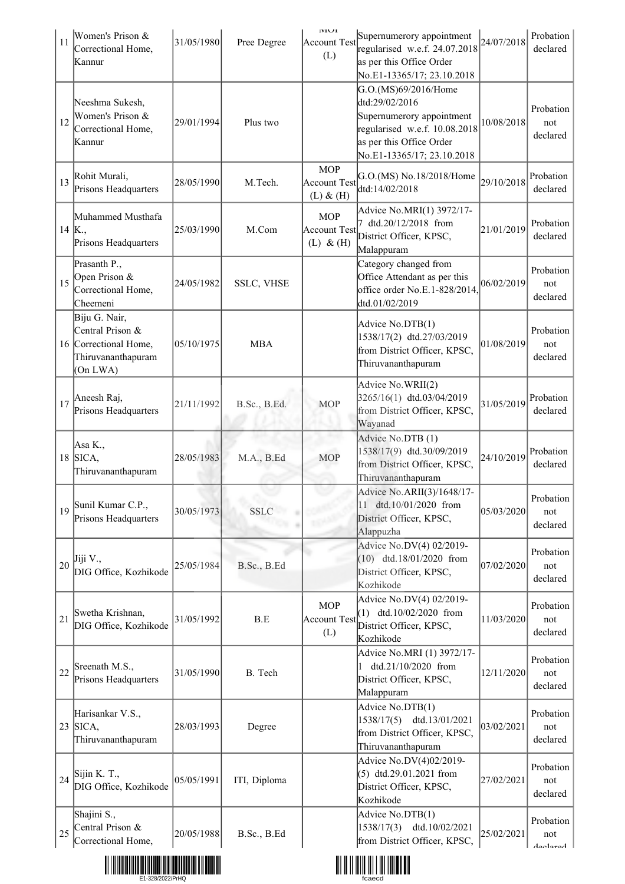| 11 | Women's Prison &<br>Correctional Home,<br>Kannur                                             | 31/05/1980 | Pree Degree                 | $1$ VIVI<br><b>Account Test</b><br>(L)             | Supernumerory appointment<br>regularised w.e.f. 24.07.2018<br>as per this Office Order<br>No.E1-13365/17; 23.10.2018                                           | 24/07/2018 | Probation<br>declared          |
|----|----------------------------------------------------------------------------------------------|------------|-----------------------------|----------------------------------------------------|----------------------------------------------------------------------------------------------------------------------------------------------------------------|------------|--------------------------------|
| 12 | Neeshma Sukesh,<br>Women's Prison &<br>Correctional Home,<br>lKannur                         | 29/01/1994 | Plus two                    |                                                    | G.O.(MS)69/2016/Home<br>dtd:29/02/2016<br>Supernumerory appointment<br>regularised w.e.f. 10.08.2018<br>as per this Office Order<br>No.E1-13365/17; 23.10.2018 | 10/08/2018 | Probation<br>not<br>declared   |
| 13 | Rohit Murali,<br>Prisons Headquarters                                                        | 28/05/1990 | M.Tech.                     | <b>MOP</b><br><b>Account Test</b><br>$(L)$ & $(H)$ | G.O.(MS) No.18/2018/Home<br>dtd:14/02/2018                                                                                                                     | 29/10/2018 | Probation<br>declared          |
|    | Muhammed Musthafa<br>14 $\mathbf{K}$ .,<br>Prisons Headquarters                              | 25/03/1990 | M.Com                       | <b>MOP</b><br><b>Account Test</b><br>$(L)$ & $(H)$ | Advice No.MRI(1) 3972/17-<br>7 dtd.20/12/2018 from<br>District Officer, KPSC,<br>Malappuram                                                                    | 21/01/2019 | Probation<br>declared          |
| 15 | Prasanth P.,<br>Open Prison &<br>Correctional Home,<br>Cheemeni                              | 24/05/1982 | <b>SSLC, VHSE</b>           |                                                    | Category changed from<br>Office Attendant as per this<br>office order No.E.1-828/2014,<br>dtd.01/02/2019                                                       | 06/02/2019 | Probation<br>not<br>declared   |
|    | Biju G. Nair,<br>Central Prison &<br>16 Correctional Home,<br>Thiruvananthapuram<br>(On LWA) | 05/10/1975 | <b>MBA</b>                  |                                                    | Advice No.DTB(1)<br>1538/17(2) dtd.27/03/2019<br>from District Officer, KPSC,<br>Thiruvananthapuram                                                            | 01/08/2019 | Probation<br>not<br>declared   |
| 17 | Aneesh Raj,<br>Prisons Headquarters                                                          | 21/11/1992 | <b>B.Sc.</b> , <b>B.Ed.</b> | <b>MOP</b>                                         | Advice No.WRII(2)<br>3265/16(1) dtd.03/04/2019<br>from District Officer, KPSC,<br>Wayanad                                                                      | 31/05/2019 | Probation<br>declared          |
|    | Asa K.,<br>18 SICA,<br>Thiruvananthapuram                                                    | 28/05/1983 | M.A., B.Ed                  | <b>MOP</b>                                         | Advice No.DTB (1)<br>1538/17(9) dtd.30/09/2019<br>from District Officer, KPSC,<br>Thiruvananthapuram                                                           | 24/10/2019 | Probation<br>declared          |
| 19 | Sunil Kumar C.P.,<br>Prisons Headquarters                                                    | 30/05/1973 | <b>SSLC</b><br>ğ,           |                                                    | Advice No.ARII(3)/1648/17-<br>dtd.10/01/2020 from<br>11<br>District Officer, KPSC,<br>Alappuzha                                                                | 05/03/2020 | Probation<br>not<br>declared   |
| 20 | Jiji V.,<br>DIG Office, Kozhikode                                                            | 25/05/1984 | B.Sc., B.Ed                 |                                                    | Advice No.DV(4) 02/2019-<br>$(10)$ dtd. $18/01/2020$ from<br>District Officer, KPSC,<br>Kozhikode                                                              | 07/02/2020 | Probation<br>not<br>declared   |
| 21 | Swetha Krishnan,<br>DIG Office, Kozhikode                                                    | 31/05/1992 | B.E                         | <b>MOP</b><br><b>Account Test</b><br>(L)           | Advice No.DV(4) 02/2019-<br>$(1)$ dtd.10/02/2020 from<br>District Officer, KPSC,<br>Kozhikode                                                                  | 11/03/2020 | Probation<br>not<br>declared   |
| 22 | Sreenath M.S.,<br>Prisons Headquarters                                                       | 31/05/1990 | B. Tech                     |                                                    | Advice No.MRI (1) 3972/17-<br>1 dtd.21/10/2020 from<br>District Officer, KPSC,<br>Malappuram                                                                   | 12/11/2020 | Probation<br>not<br>declared   |
|    | Harisankar V.S.,<br>$23$ SICA,<br>Thiruvananthapuram                                         | 28/03/1993 | Degree                      |                                                    | Advice No.DTB(1)<br>1538/17(5)<br>dtd.13/01/2021<br>from District Officer, KPSC,<br>Thiruvananthapuram                                                         | 03/02/2021 | Probation<br>not<br>declared   |
| 24 | Sijin K. T.,<br>DIG Office, Kozhikode                                                        | 05/05/1991 | ITI, Diploma                |                                                    | Advice No.DV(4)02/2019-<br>$(5)$ dtd.29.01.2021 from<br>District Officer, KPSC,<br>Kozhikode                                                                   | 27/02/2021 | Probation<br>not<br>declared   |
| 25 | Shajini S.,<br>Central Prison &<br>Correctional Home,                                        | 20/05/1988 | B.Sc., B.Ed                 |                                                    | Advice No.DTB(1)<br>dtd.10/02/2021<br>1538/17(3)<br>from District Officer, KPSC,                                                                               | 25/02/2021 | Probation<br>not<br>declared 1 |